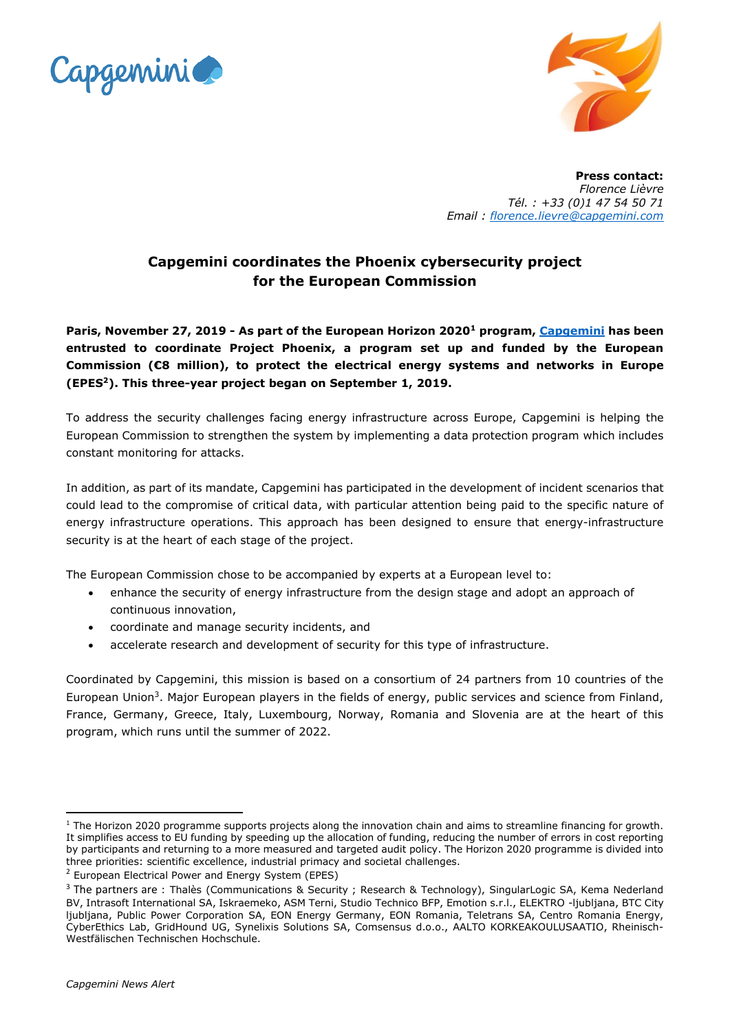



**Press contact:** *Florence Lièvre Tél. : +33 (0)1 47 54 50 71 Email : [florence.lievre@capgemini.com](mailto:florence.lievre@capgemini.com)*

## **Capgemini coordinates the Phoenix cybersecurity project for the European Commission**

**Paris, November 27, 2019 - As part of the European Horizon 2020<sup>1</sup> program, [Capgemini](http://www.capgemini.com/) has been entrusted to coordinate Project Phoenix, a program set up and funded by the European Commission (€8 million), to protect the electrical energy systems and networks in Europe (EPES<sup>2</sup>). This three-year project began on September 1, 2019.**

To address the security challenges facing energy infrastructure across Europe, Capgemini is helping the European Commission to strengthen the system by implementing a data protection program which includes constant monitoring for attacks.

In addition, as part of its mandate, Capgemini has participated in the development of incident scenarios that could lead to the compromise of critical data, with particular attention being paid to the specific nature of energy infrastructure operations. This approach has been designed to ensure that energy-infrastructure security is at the heart of each stage of the project.

The European Commission chose to be accompanied by experts at a European level to:

- enhance the security of energy infrastructure from the design stage and adopt an approach of continuous innovation,
- coordinate and manage security incidents, and
- accelerate research and development of security for this type of infrastructure.

Coordinated by Capgemini, this mission is based on a consortium of 24 partners from 10 countries of the European Union<sup>3</sup>. Major European players in the fields of energy, public services and science from Finland, France, Germany, Greece, Italy, Luxembourg, Norway, Romania and Slovenia are at the heart of this program, which runs until the summer of 2022.

**<sup>.</sup>**  $1$  The Horizon 2020 programme supports projects along the innovation chain and aims to streamline financing for growth. It simplifies access to EU funding by speeding up the allocation of funding, reducing the number of errors in cost reporting by participants and returning to a more measured and targeted audit policy. The Horizon 2020 programme is divided into three priorities: scientific excellence, industrial primacy and societal challenges.

 $2$  European Electrical Power and Energy System (EPES)

<sup>&</sup>lt;sup>3</sup> The partners are : Thalès (Communications & Security ; Research & Technology), SingularLogic SA, Kema Nederland BV, Intrasoft International SA, Iskraemeko, ASM Terni, Studio Technico BFP, Emotion s.r.l., ELEKTRO -ljubljana, BTC City ljubljana, Public Power Corporation SA, EON Energy Germany, EON Romania, Teletrans SA, Centro Romania Energy, CyberEthics Lab, GridHound UG, Synelixis Solutions SA, Comsensus d.o.o., AALTO KORKEAKOULUSAATIO, Rheinisch-Westfälischen Technischen Hochschule.